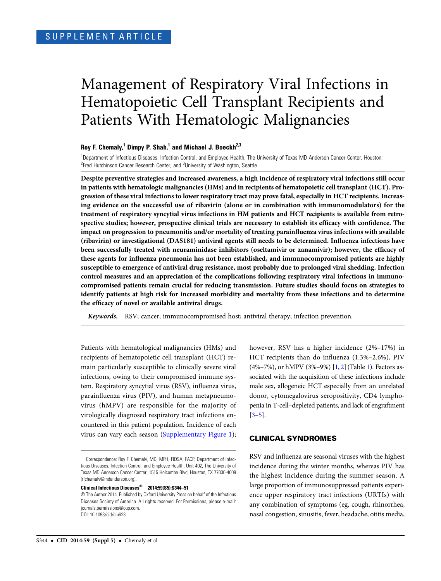# Management of Respiratory Viral Infections in Hematopoietic Cell Transplant Recipients and Patients With Hematologic Malignancies

# Roy F. Chemaly,<sup>1</sup> Dimpy P. Shah,<sup>1</sup> and Michael J. Boeckh<sup>2,3</sup>

<sup>1</sup>Department of Infectious Diseases, Infection Control, and Employee Health, The University of Texas MD Anderson Cancer Center, Houston; <sup>2</sup>Fred Hutchinson Cancer Research Center, and <sup>3</sup>University of Washington, Seattle

Despite preventive strategies and increased awareness, a high incidence of respiratory viral infections still occur in patients with hematologic malignancies (HMs) and in recipients of hematopoietic cell transplant (HCT). Progression of these viral infections to lower respiratory tract may prove fatal, especially in HCT recipients. Increasing evidence on the successful use of ribavirin (alone or in combination with immunomodulators) for the treatment of respiratory syncytial virus infections in HM patients and HCT recipients is available from retrospective studies; however, prospective clinical trials are necessary to establish its efficacy with confidence. The impact on progression to pneumonitis and/or mortality of treating parainfluenza virus infections with available (ribavirin) or investigational (DAS181) antiviral agents still needs to be determined. Influenza infections have been successfully treated with neuraminidase inhibitors (oseltamivir or zanamivir); however, the efficacy of these agents for influenza pneumonia has not been established, and immunocompromised patients are highly susceptible to emergence of antiviral drug resistance, most probably due to prolonged viral shedding. Infection control measures and an appreciation of the complications following respiratory viral infections in immunocompromised patients remain crucial for reducing transmission. Future studies should focus on strategies to identify patients at high risk for increased morbidity and mortality from these infections and to determine the efficacy of novel or available antiviral drugs.

Keywords. RSV; cancer; immunocompromised host; antiviral therapy; infection prevention.

Patients with hematological malignancies (HMs) and recipients of hematopoietic cell transplant (HCT) remain particularly susceptible to clinically severe viral infections, owing to their compromised immune system. Respiratory syncytial virus (RSV), influenza virus, parainfluenza virus (PIV), and human metapneumovirus (hMPV) are responsible for the majority of virologically diagnosed respiratory tract infections encountered in this patient population. Incidence of each virus can vary each season [\(Supplementary Figure 1\)](http://cid.oxfordjournals.org/lookup/suppl/doi:10.1093/cid/ciu623/-/DC1);

Clinical Infectious Diseases® 2014;59(S5):S344–51

however, RSV has a higher incidence (2%–17%) in HCT recipients than do influenza (1.3%–2.6%), PIV (4%–7%), or hMPV (3%–9%) [\[1](#page-5-0), [2](#page-5-0)] (Table [1](#page-1-0)). Factors associated with the acquisition of these infections include male sex, allogeneic HCT especially from an unrelated donor, cytomegalovirus seropositivity, CD4 lymphopenia in T-cell–depleted patients, and lack of engraftment  $[3-5]$  $[3-5]$  $[3-5]$ .

## CLINICAL SYNDROMES

RSV and influenza are seasonal viruses with the highest incidence during the winter months, whereas PIV has the highest incidence during the summer season. A large proportion of immunosuppressed patients experience upper respiratory tract infections (URTIs) with any combination of symptoms (eg, cough, rhinorrhea, nasal congestion, sinusitis, fever, headache, otitis media,

Correspondence: Roy F. Chemaly, MD, MPH, FIDSA, FACP, Department of Infectious Diseases, Infection Control, and Employee Health, Unit 402, The University of Texas MD Anderson Cancer Center, 1515 Holcombe Blvd, Houston, TX 77030-4009 [\(rfchemaly@mdanderson.org\)](mailto:rfchemaly@mdanderson.org).

<sup>©</sup> The Author 2014. Published by Oxford University Press on behalf of the Infectious Diseases Society of America. All rights reserved. For Permissions, please e-mail: [journals.permissions@oup.com](mailto:journals.permissions@oup.com). DOI: 10.1093/cid/ciu623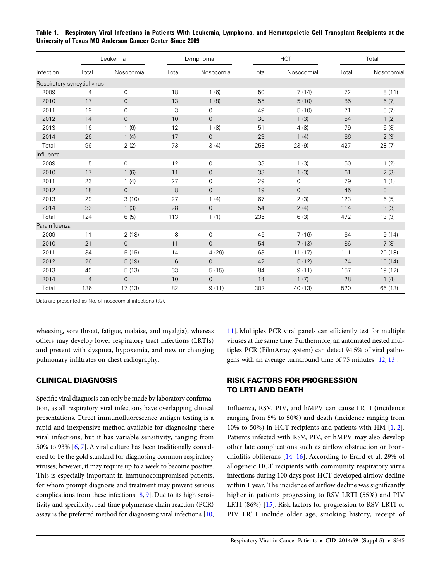| Infection     | Leukemia                    |                     | Lymphoma |                | <b>HCT</b> |                | Total |             |
|---------------|-----------------------------|---------------------|----------|----------------|------------|----------------|-------|-------------|
|               | Total                       | Nosocomial          | Total    | Nosocomial     | Total      | Nosocomial     | Total | Nosocomial  |
|               | Respiratory syncytial virus |                     |          |                |            |                |       |             |
| 2009          | $\overline{4}$              | $\mathbf 0$         | 18       | 1(6)           | 50         | 7(14)          | 72    | 8(11)       |
| 2010          | 17                          | $\mathbf 0$         | 13       | 1(8)           | 55         | 5(10)          | 85    | 6(7)        |
| 2011          | 19                          | 0                   | 3        | 0              | 49         | 5(10)          | 71    | 5(7)        |
| 2012          | 14                          | $\mathsf{O}\xspace$ | 10       | $\overline{0}$ | 30         | 1(3)           | 54    | 1(2)        |
| 2013          | 16                          | 1(6)                | 12       | 1(8)           | 51         | 4(8)           | 79    | 6(8)        |
| 2014          | 26                          | 1(4)                | 17       | $\mathbf 0$    | 23         | 1(4)           | 66    | 2(3)        |
| Total         | 96                          | 2(2)                | 73       | 3(4)           | 258        | 23(9)          | 427   | 28(7)       |
| Influenza     |                             |                     |          |                |            |                |       |             |
| 2009          | 5                           | $\mathbf 0$         | 12       | 0              | 33         | 1(3)           | 50    | 1(2)        |
| 2010          | 17                          | 1(6)                | 11       | $\mathbf 0$    | 33         | 1(3)           | 61    | 2(3)        |
| 2011          | 23                          | 1(4)                | 27       | $\mathbf 0$    | 29         | $\mathbf 0$    | 79    | 1(1)        |
| 2012          | 18                          | $\mathbf 0$         | 8        | $\overline{0}$ | 19         | $\overline{0}$ | 45    | $\mathbf 0$ |
| 2013          | 29                          | 3(10)               | 27       | 1(4)           | 67         | 2(3)           | 123   | 6(5)        |
| 2014          | 32                          | 1(3)                | 28       | $\mathbf 0$    | 54         | 2(4)           | 114   | 3(3)        |
| Total         | 124                         | 6(5)                | 113      | 1(1)           | 235        | 6(3)           | 472   | 13(3)       |
| Parainfluenza |                             |                     |          |                |            |                |       |             |
| 2009          | 11                          | 2(18)               | 8        | $\mathbf 0$    | 45         | 7(16)          | 64    | 9(14)       |
| 2010          | 21                          | $\mathbf 0$         | 11       | $\overline{0}$ | 54         | 7(13)          | 86    | 7(8)        |
| 2011          | 34                          | 5(15)               | 14       | 4 (29)         | 63         | 11(17)         | 111   | 20 (18)     |
| 2012          | 26                          | 5(19)               | 6        | $\mathbf 0$    | 42         | 5(12)          | 74    | 10(14)      |
| 2013          | 40                          | 5(13)               | 33       | 5(15)          | 84         | 9(11)          | 157   | 19 (12)     |
| 2014          | $\overline{4}$              | $\overline{0}$      | 10       | $\overline{0}$ | 14         | 1(7)           | 28    | 1(4)        |
| Total         | 136                         | 17(13)              | 82       | 9(11)          | 302        | 40 (13)        | 520   | 66 (13)     |

<span id="page-1-0"></span>Table 1. Respiratory Viral Infections in Patients With Leukemia, Lymphoma, and Hematopoietic Cell Transplant Recipients at the University of Texas MD Anderson Cancer Center Since 2009

Data are presented as No. of nosocomial infections (%).

wheezing, sore throat, fatigue, malaise, and myalgia), whereas others may develop lower respiratory tract infections (LRTIs) and present with dyspnea, hypoxemia, and new or changing pulmonary infiltrates on chest radiography.

# CLINICAL DIAGNOSIS

Specific viral diagnosis can only be made by laboratory confirmation, as all respiratory viral infections have overlapping clinical presentations. Direct immunofluorescence antigen testing is a rapid and inexpensive method available for diagnosing these viral infections, but it has variable sensitivity, ranging from 50% to 93% [\[6,](#page-5-0) [7](#page-5-0)]. A viral culture has been traditionally considered to be the gold standard for diagnosing common respiratory viruses; however, it may require up to a week to become positive. This is especially important in immunocompromised patients, for whom prompt diagnosis and treatment may prevent serious complications from these infections [[8](#page-5-0), [9\]](#page-5-0). Due to its high sensitivity and specificity, real-time polymerase chain reaction (PCR) assay is the preferred method for diagnosing viral infections [\[10,](#page-6-0)

[11\]](#page-6-0). Multiplex PCR viral panels can efficiently test for multiple viruses at the same time. Furthermore, an automated nested multiplex PCR (FilmArray system) can detect 94.5% of viral pathogens with an average turnaround time of 75 minutes [[12,](#page-6-0) [13\]](#page-6-0).

# RISK FACTORS FOR PROGRESSION TO LRTI AND DEATH

Influenza, RSV, PIV, and hMPV can cause LRTI (incidence ranging from 5% to 50%) and death (incidence ranging from 10% to 50%) in HCT recipients and patients with HM [[1](#page-5-0), [2](#page-5-0)]. Patients infected with RSV, PIV, or hMPV may also develop other late complications such as airflow obstruction or bronchiolitis obliterans [[14](#page-6-0)–[16](#page-6-0)]. According to Erard et al, 29% of allogeneic HCT recipients with community respiratory virus infections during 100 days post-HCT developed airflow decline within 1 year. The incidence of airflow decline was significantly higher in patients progressing to RSV LRTI (55%) and PIV LRTI (86%) [[15](#page-6-0)]. Risk factors for progression to RSV LRTI or PIV LRTI include older age, smoking history, receipt of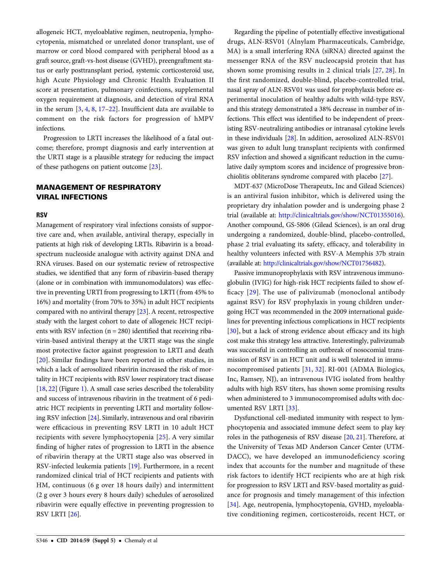allogeneic HCT, myeloablative regimen, neutropenia, lymphocytopenia, mismatched or unrelated donor transplant, use of marrow or cord blood compared with peripheral blood as a graft source, graft-vs-host disease (GVHD), preengraftment status or early posttransplant period, systemic corticosteroid use, high Acute Physiology and Chronic Health Evaluation II score at presentation, pulmonary coinfections, supplemental oxygen requirement at diagnosis, and detection of viral RNA in the serum [\[3,](#page-5-0) [4,](#page-5-0) [8,](#page-5-0) [17](#page-6-0)–[22\]](#page-6-0). Insufficient data are available to comment on the risk factors for progression of hMPV infections.

Progression to LRTI increases the likelihood of a fatal outcome; therefore, prompt diagnosis and early intervention at the URTI stage is a plausible strategy for reducing the impact of these pathogens on patient outcome [[23\]](#page-6-0).

# MANAGEMENT OF RESPIRATORY VIRAL INFECTIONS

#### **RSV**

Management of respiratory viral infections consists of supportive care and, when available, antiviral therapy, especially in patients at high risk of developing LRTIs. Ribavirin is a broadspectrum nucleoside analogue with activity against DNA and RNA viruses. Based on our systematic review of retrospective studies, we identified that any form of ribavirin-based therapy (alone or in combination with immunomodulators) was effective in preventing URTI from progressing to LRTI (from 45% to 16%) and mortality (from 70% to 35%) in adult HCT recipients compared with no antiviral therapy [[23\]](#page-6-0). A recent, retrospective study with the largest cohort to date of allogeneic HCT recipients with RSV infection  $(n = 280)$  identified that receiving ribavirin-based antiviral therapy at the URTI stage was the single most protective factor against progression to LRTI and death [\[20\]](#page-6-0). Similar findings have been reported in other studies, in which a lack of aerosolized ribavirin increased the risk of mortality in HCT recipients with RSV lower respiratory tract disease [\[18](#page-6-0), [22](#page-6-0)] (Figure [1\)](#page-3-0). A small case series described the tolerability and success of intravenous ribavirin in the treatment of 6 pediatric HCT recipients in preventing LRTI and mortality following RSV infection [\[24\]](#page-6-0). Similarly, intravenous and oral ribavirin were efficacious in preventing RSV LRTI in 10 adult HCT recipients with severe lymphocytopenia [[25](#page-6-0)]. A very similar finding of higher rates of progression to LRTI in the absence of ribavirin therapy at the URTI stage also was observed in RSV-infected leukemia patients [\[19](#page-6-0)]. Furthermore, in a recent randomized clinical trial of HCT recipients and patients with HM, continuous (6 g over 18 hours daily) and intermittent (2 g over 3 hours every 8 hours daily) schedules of aerosolized ribavirin were equally effective in preventing progression to RSV LRTI [[26\]](#page-6-0).

Regarding the pipeline of potentially effective investigational drugs, ALN-RSV01 (Alnylam Pharmaceuticals, Cambridge, MA) is a small interfering RNA (siRNA) directed against the messenger RNA of the RSV nucleocapsid protein that has shown some promising results in 2 clinical trials [\[27](#page-6-0), [28](#page-6-0)]. In the first randomized, double-blind, placebo-controlled trial, nasal spray of ALN-RSV01 was used for prophylaxis before experimental inoculation of healthy adults with wild-type RSV, and this strategy demonstrated a 38% decrease in number of infections. This effect was identified to be independent of preexisting RSV-neutralizing antibodies or intranasal cytokine levels in these individuals [[28\]](#page-6-0). In addition, aerosolized ALN-RSV01 was given to adult lung transplant recipients with confirmed RSV infection and showed a significant reduction in the cumulative daily symptom scores and incidence of progressive bronchiolitis obliterans syndrome compared with placebo [\[27](#page-6-0)].

MDT-637 (MicroDose Therapeutx, Inc and Gilead Sciences) is an antiviral fusion inhibitor, which is delivered using the proprietary dry inhalation powder and is undergoing phase 2 trial (available at: [http://clinicaltrials.gov/show/NCT01355016\)](http://clinicaltrials.gov/show/NCT01355016). Another compound, GS-5806 (Gilead Sciences), is an oral drug undergoing a randomized, double-blind, placebo-controlled, phase 2 trial evaluating its safety, efficacy, and tolerability in healthy volunteers infected with RSV-A Memphis 37b strain (available at: <http://clinicaltrials.gov/show/NCT01756482>).

Passive immunoprophylaxis with RSV intravenous immunoglobulin (IVIG) for high-risk HCT recipients failed to show efficacy [[29](#page-6-0)]. The use of palivizumab (monoclonal antibody against RSV) for RSV prophylaxis in young children undergoing HCT was recommended in the 2009 international guidelines for preventing infectious complications in HCT recipients [\[30\]](#page-6-0), but a lack of strong evidence about efficacy and its high cost make this strategy less attractive. Interestingly, palivizumab was successful in controlling an outbreak of nosocomial transmission of RSV in an HCT unit and is well tolerated in immunocompromised patients [\[31,](#page-6-0) [32\]](#page-6-0). RI-001 (ADMA Biologics, Inc, Ramsey, NJ), an intravenous IVIG isolated from healthy adults with high RSV titers, has shown some promising results when administered to 3 immunocompromised adults with documented RSV LRTI [\[33](#page-6-0)].

Dysfunctional cell-mediated immunity with respect to lymphocytopenia and associated immune defect seem to play key roles in the pathogenesis of RSV disease [\[20](#page-6-0), [21\]](#page-6-0). Therefore, at the University of Texas MD Anderson Cancer Center (UTM-DACC), we have developed an immunodeficiency scoring index that accounts for the number and magnitude of these risk factors to identify HCT recipients who are at high risk for progression to RSV LRTI and RSV-based mortality as guidance for prognosis and timely management of this infection [\[34](#page-6-0)]. Age, neutropenia, lymphocytopenia, GVHD, myeloablative conditioning regimen, corticosteroids, recent HCT, or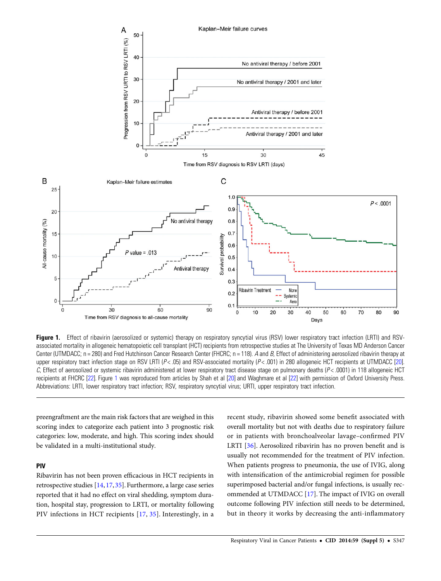<span id="page-3-0"></span>

Figure 1. Effect of ribavirin (aerosolized or systemic) therapy on respiratory syncytial virus (RSV) lower respiratory tract infection (LRTI) and RSVassociated mortality in allogeneic hematopoietic cell transplant (HCT) recipients from retrospective studies at The University of Texas MD Anderson Cancer Center (UTMDACC;  $n = 280$ ) and Fred Hutchinson Cancer Research Center (FHCRC;  $n = 118$ ). A and B, Effect of administering aerosolized ribavirin therapy at upper respiratory tract infection stage on RSV LRTI ( $P < 0.05$ ) and RSV-associated mortality ( $P < 0.001$ ) in 280 allogeneic HCT recipients at UTMDACC [\[20\]](#page-6-0).  $C$ , Effect of aerosolized or systemic ribavirin administered at lower respiratory tract disease stage on pulmonary deaths ( $P < 0.0001$ ) in 118 allogeneic HCT recipients at FHCRC [\[22](#page-6-0)]. Figure 1 was reproduced from articles by Shah et al [[20](#page-6-0)] and Waghmare et al [\[22](#page-6-0)] with permission of Oxford University Press. Abbreviations: LRTI, lower respiratory tract infection; RSV, respiratory syncytial virus; URTI, upper respiratory tract infection.

preengraftment are the main risk factors that are weighed in this scoring index to categorize each patient into 3 prognostic risk categories: low, moderate, and high. This scoring index should be validated in a multi-institutional study.

## PIV

Ribavirin has not been proven efficacious in HCT recipients in retrospective studies [\[14](#page-6-0), [17,](#page-6-0) [35](#page-6-0)]. Furthermore, a large case series reported that it had no effect on viral shedding, symptom duration, hospital stay, progression to LRTI, or mortality following PIV infections in HCT recipients [\[17,](#page-6-0) [35\]](#page-6-0). Interestingly, in a

recent study, ribavirin showed some benefit associated with overall mortality but not with deaths due to respiratory failure or in patients with bronchoalveolar lavage–confirmed PIV LRTI [\[36\]](#page-6-0). Aerosolized ribavirin has no proven benefit and is usually not recommended for the treatment of PIV infection. When patients progress to pneumonia, the use of IVIG, along with intensification of the antimicrobial regimen for possible superimposed bacterial and/or fungal infections, is usually recommended at UTMDACC [\[17\]](#page-6-0). The impact of IVIG on overall outcome following PIV infection still needs to be determined, but in theory it works by decreasing the anti-inflammatory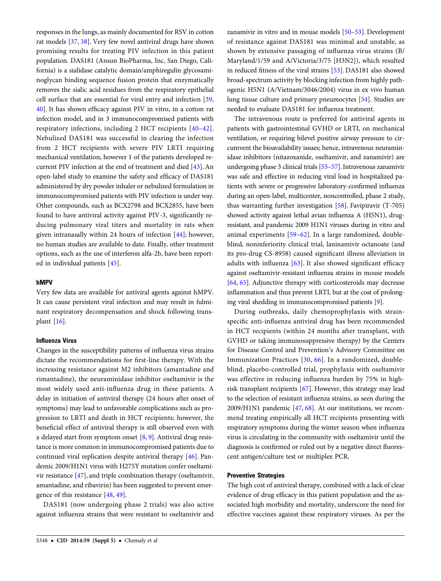responses in the lungs, as mainly documented for RSV in cotton rat models [\[37](#page-6-0), [38\]](#page-6-0). Very few novel antiviral drugs have shown promising results for treating PIV infection in this patient population. DAS181 (Ansun BioPharma, Inc, San Diego, California) is a sialidase catalytic domain/amphiregulin glycosaminoglycan binding sequence fusion protein that enzymatically removes the sialic acid residues from the respiratory epithelial cell surface that are essential for viral entry and infection [[39,](#page-6-0) [40](#page-6-0)]. It has shown efficacy against PIV in vitro, in a cotton rat infection model, and in 3 immunocompromised patients with respiratory infections, including 2 HCT recipients [[40](#page-6-0)–[42](#page-6-0)]. Nebulized DAS181 was successful in clearing the infection from 2 HCT recipients with severe PIV LRTI requiring mechanical ventilation; however 1 of the patients developed recurrent PIV infection at the end of treatment and died [\[43](#page-6-0)]. An open-label study to examine the safety and efficacy of DAS181 administered by dry powder inhaler or nebulized formulation in immunocompromised patients with PIV infection is under way. Other compounds, such as BCX2798 and BCX2855, have been found to have antiviral activity against PIV-3, significantly reducing pulmonary viral titers and mortality in rats when given intranasally within 24 hours of infection [[44](#page-6-0)]; however, no human studies are available to date. Finally, other treatment options, such as the use of interferon alfa-2b, have been reported in individual patients [\[45](#page-6-0)].

#### hMPV

Very few data are available for antiviral agents against hMPV. It can cause persistent viral infection and may result in fulminant respiratory decompensation and shock following transplant [\[16](#page-6-0)].

### Influenza Virus

Changes in the susceptibility patterns of influenza virus strains dictate the recommendations for first-line therapy. With the increasing resistance against M2 inhibitors (amantadine and rimantadine), the neuraminidase inhibitor oseltamivir is the most widely used anti-influenza drug in these patients. A delay in initiation of antiviral therapy (24 hours after onset of symptoms) may lead to unfavorable complications such as progression to LRTI and death in HCT recipients; however, the beneficial effect of antiviral therapy is still observed even with a delayed start from symptom onset  $[8, 9]$  $[8, 9]$  $[8, 9]$  $[8, 9]$ . Antiviral drug resistance is more common in immunocompromised patients due to continued viral replication despite antiviral therapy [\[46](#page-6-0)]. Pandemic 2009/H1N1 virus with H275Y mutation confer oseltamivir resistance [[47\]](#page-6-0), and triple combination therapy (oseltamivir, amantadine, and ribavirin) has been suggested to prevent emergence of this resistance [[48](#page-6-0), [49](#page-7-0)].

DAS181 (now undergoing phase 2 trials) was also active against influenza strains that were resistant to oseltamivir and zanamivir in vitro and in mouse models [[50](#page-7-0)–[53\]](#page-7-0). Development of resistance against DAS181 was minimal and unstable, as shown by extensive passaging of influenza virus strains (B/ Maryland/1/59 and A/Victoria/3/75 [H3N2]), which resulted in reduced fitness of the viral strains [\[53](#page-7-0)]. DAS181 also showed broad-spectrum activity by blocking infection from highly pathogenic H5N1 (A/Vietnam/3046/2004) virus in ex vivo human lung tissue culture and primary pneumocytes [\[54](#page-7-0)]. Studies are needed to evaluate DAS181 for influenza treatment.

The intravenous route is preferred for antiviral agents in patients with gastrointestinal GVHD or LRTI, on mechanical ventilation, or requiring bilevel positive airway pressure to circumvent the bioavailability issues; hence, intravenous neuraminidase inhibitors (nitazoxanide, oseltamivir, and zanamivir) are undergoing phase 3 clinical trials [[55](#page-7-0)–[57](#page-7-0)]. Intravenous zanamivir was safe and effective in reducing viral load in hospitalized patients with severe or progressive laboratory-confirmed influenza during an open-label, multicenter, noncontrolled, phase 2 study, thus warranting further investigation [[58\]](#page-7-0). Favipiravir (T-705) showed activity against lethal avian influenza A (H5N1), drugresistant, and pandemic 2009 H1N1 viruses during in vitro and animal experiments [[59](#page-7-0)–[62\]](#page-7-0). In a large randomized, doubleblind, noninferiority clinical trial, laninamivir octanoate (and its pro-drug CS-8958) caused significant illness alleviation in adults with influenza [\[63\]](#page-7-0). It also showed significant efficacy against oseltamivir-resistant influenza strains in mouse models [\[64](#page-7-0), [65\]](#page-7-0). Adjunctive therapy with corticosteroids may decrease inflammation and thus prevent LRTI, but at the cost of prolonging viral shedding in immunocompromised patients [\[9\]](#page-5-0).

During outbreaks, daily chemoprophylaxis with strainspecific anti-influenza antiviral drug has been recommended in HCT recipients (within 24 months after transplant, with GVHD or taking immunosuppressive therapy) by the Centers for Disease Control and Prevention's Advisory Committee on Immunization Practices [[30](#page-6-0), [66\]](#page-7-0). In a randomized, doubleblind, placebo-controlled trial, prophylaxis with oseltamivir was effective in reducing influenza burden by 75% in highrisk transplant recipients [[67](#page-7-0)]. However, this strategy may lead to the selection of resistant influenza strains, as seen during the 2009/H1N1 pandemic [\[47](#page-6-0), [68\]](#page-7-0). At our institutions, we recommend treating empirically all HCT recipients presenting with respiratory symptoms during the winter season when influenza virus is circulating in the community with oseltamivir until the diagnosis is confirmed or ruled out by a negative direct fluorescent antigen/culture test or multiplex PCR.

## Preventive Strategies

The high cost of antiviral therapy, combined with a lack of clear evidence of drug efficacy in this patient population and the associated high morbidity and mortality, underscore the need for effective vaccines against these respiratory viruses. As per the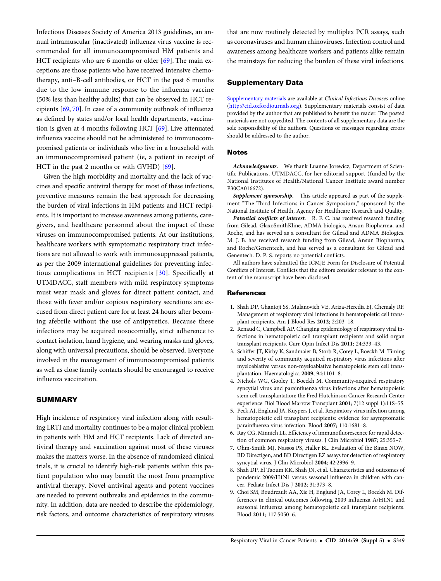<span id="page-5-0"></span>Infectious Diseases Society of America 2013 guidelines, an annual intramuscular (inactivated) influenza virus vaccine is recommended for all immunocompromised HM patients and HCT recipients who are 6 months or older [[69\]](#page-7-0). The main exceptions are those patients who have received intensive chemotherapy, anti–B-cell antibodies, or HCT in the past 6 months due to the low immune response to the influenza vaccine (50% less than healthy adults) that can be observed in HCT recipients [\[69](#page-7-0), [70\]](#page-7-0). In case of a community outbreak of influenza as defined by states and/or local health departments, vaccination is given at 4 months following HCT [[69](#page-7-0)]. Live attenuated influenza vaccine should not be administered to immunocompromised patients or individuals who live in a household with an immunocompromised patient (ie, a patient in receipt of HCT in the past 2 months or with GVHD) [\[69\]](#page-7-0).

Given the high morbidity and mortality and the lack of vaccines and specific antiviral therapy for most of these infections, preventive measures remain the best approach for decreasing the burden of viral infections in HM patients and HCT recipients. It is important to increase awareness among patients, caregivers, and healthcare personnel about the impact of these viruses on immunocompromised patients. At our institutions, healthcare workers with symptomatic respiratory tract infections are not allowed to work with immunosuppressed patients, as per the 2009 international guidelines for preventing infectious complications in HCT recipients [[30](#page-6-0)]. Specifically at UTMDACC, staff members with mild respiratory symptoms must wear mask and gloves for direct patient contact, and those with fever and/or copious respiratory secretions are excused from direct patient care for at least 24 hours after becoming afebrile without the use of antipyretics. Because these infections may be acquired nosocomially, strict adherence to contact isolation, hand hygiene, and wearing masks and gloves, along with universal precautions, should be observed. Everyone involved in the management of immunocompromised patients as well as close family contacts should be encouraged to receive influenza vaccination.

# SUMMARY

High incidence of respiratory viral infection along with resulting LRTI and mortality continues to be a major clinical problem in patients with HM and HCT recipients. Lack of directed antiviral therapy and vaccination against most of these viruses makes the matters worse. In the absence of randomized clinical trials, it is crucial to identify high-risk patients within this patient population who may benefit the most from preemptive antiviral therapy. Novel antiviral agents and potent vaccines are needed to prevent outbreaks and epidemics in the community. In addition, data are needed to describe the epidemiology, risk factors, and outcome characteristics of respiratory viruses

that are now routinely detected by multiplex PCR assays, such as coronaviruses and human rhinoviruses. Infection control and awareness among healthcare workers and patients alike remain the mainstays for reducing the burden of these viral infections.

## Supplementary Data

[Supplementary materials](http://cid.oxfordjournals.org/lookup/suppl/doi:10.1093/cid/ciu623/-/DC1) are available at Clinical Infectious Diseases online ([http://cid.oxfordjournals.org\)](http://cid.oxfordjournals.org). Supplementary materials consist of data provided by the author that are published to benefit the reader. The posted materials are not copyedited. The contents of all supplementary data are the sole responsibility of the authors. Questions or messages regarding errors should be addressed to the author.

#### **Notes**

Acknowledgments. We thank Luanne Jorewicz, Department of Scientific Publications, UTMDACC, for her editorial support (funded by the National Institutes of Health/National Cancer Institute award number P30CA016672).

Supplement sponsorship. This article appeared as part of the supplement "The Third Infections in Cancer Symposium," sponsored by the National Institute of Health, Agency for Healthcare Research and Quality.

Potential conflicts of interest. R. F. C. has received research funding from Gilead, GlaxoSmithKline, ADMA biologics, Ansun Biopharma, and Roche, and has served as a consultant for Gilead and ADMA Biologics. M. J. B. has received research funding from Gilead, Ansun Biopharma, and Roche/Genentech, and has served as a consultant for Gilead and Genentech. D. P. S. reports no potential conflicts.

All authors have submitted the ICMJE Form for Disclosure of Potential Conflicts of Interest. Conflicts that the editors consider relevant to the content of the manuscript have been disclosed.

#### References

- 1. Shah DP, Ghantoji SS, Mulanovich VE, Ariza-Heredia EJ, Chemaly RF. Management of respiratory viral infections in hematopoietic cell transplant recipients. Am J Blood Res 2012; 2:203–18.
- 2. Renaud C, Campbell AP. Changing epidemiology of respiratory viral infections in hematopoietic cell transplant recipients and solid organ transplant recipients. Curr Opin Infect Dis 2011; 24:333–43.
- 3. Schiffer JT, Kirby K, Sandmaier B, Storb R, Corey L, Boeckh M. Timing and severity of community acquired respiratory virus infections after myeloablative versus non-myeloablative hematopoietic stem cell transplantation. Haematologica 2009; 94:1101–8.
- 4. Nichols WG, Gooley T, Boeckh M. Community-acquired respiratory syncytial virus and parainfluenza virus infections after hematopoietic stem cell transplantation: the Fred Hutchinson Cancer Research Center experience. Biol Blood Marrow Transplant 2001; 7(12 suppl 1):11S–5S.
- 5. Peck AJ, Englund JA, Kuypers J, et al. Respiratory virus infection among hematopoietic cell transplant recipients: evidence for asymptomatic parainfluenza virus infection. Blood 2007; 110:1681–8.
- 6. Ray CG, Minnich LL. Efficiency of immunofluorescence for rapid detection of common respiratory viruses. J Clin Microbiol 1987; 25:355–7.
- 7. Ohm-Smith MJ, Nassos PS, Haller BL. Evaluation of the Binax NOW, BD Directigen, and BD Directigen EZ assays for detection of respiratory syncytial virus. J Clin Microbiol 2004; 42:2996–9.
- 8. Shah DP, El Taoum KK, Shah JN, et al. Characteristics and outcomes of pandemic 2009/H1N1 versus seasonal influenza in children with cancer. Pediatr Infect Dis J 2012; 31:373–8.
- 9. Choi SM, Boudreault AA, Xie H, Englund JA, Corey L, Boeckh M. Differences in clinical outcomes following 2009 influenza A/H1N1 and seasonal influenza among hematopoietic cell transplant recipients. Blood 2011; 117:5050–6.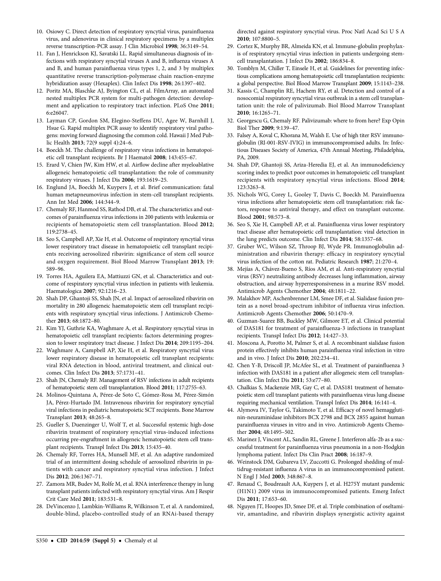- <span id="page-6-0"></span>10. Osiowy C. Direct detection of respiratory syncytial virus, parainfluenza virus, and adenovirus in clinical respiratory specimens by a multiplex reverse transcription-PCR assay. J Clin Microbiol 1998; 36:3149–54.
- 11. Fan J, Henrickson KJ, Savatski LL. Rapid simultaneous diagnosis of infections with respiratory syncytial viruses A and B, influenza viruses A and B, and human parainfluenza virus types 1, 2, and 3 by multiplex quantitative reverse transcription-polymerase chain reaction-enzyme hybridization assay (Hexaplex). Clin Infect Dis 1998; 26:1397–402.
- 12. Poritz MA, Blaschke AJ, Byington CL, et al. FilmArray, an automated nested multiplex PCR system for multi-pathogen detection: development and application to respiratory tract infection. PLoS One 2011; 6:e26047.
- 13. Layman CP, Gordon SM, Elegino-Steffens DU, Agee W, Barnhill J, Hsue G. Rapid multiplex PCR assay to identify respiratory viral pathogens: moving forward diagnosing the common cold. Hawaii J Med Public Health 2013; 72(9 suppl 4):24–6.
- 14. Boeckh M. The challenge of respiratory virus infections in hematopoietic cell transplant recipients. Br J Haematol 2008; 143:455–67.
- 15. Erard V, Chien JW, Kim HW, et al. Airflow decline after myeloablative allogeneic hematopoietic cell transplantation: the role of community respiratory viruses. J Infect Dis 2006; 193:1619–25.
- 16. Englund JA, Boeckh M, Kuypers J, et al. Brief communication: fatal human metapneumovirus infection in stem-cell transplant recipients. Ann Int Med 2006; 144:344–9.
- 17. Chemaly RF, Hanmod SS, Rathod DB, et al. The characteristics and outcomes of parainfluenza virus infections in 200 patients with leukemia or recipients of hematopoietic stem cell transplantation. Blood 2012; 119:2738–45.
- 18. Seo S, Campbell AP, Xie H, et al. Outcome of respiratory syncytial virus lower respiratory tract disease in hematopoietic cell transplant recipients receiving aerosolized ribavirin: significance of stem cell source and oxygen requirement. Biol Blood Marrow Transplant 2013; 19: 589–96.
- 19. Torres HA, Aguilera EA, Mattiuzzi GN, et al. Characteristics and outcome of respiratory syncytial virus infection in patients with leukemia. Haematologica 2007; 92:1216–23.
- 20. Shah DP, Ghantoji SS, Shah JN, et al. Impact of aerosolized ribavirin on mortality in 280 allogeneic haematopoietic stem cell transplant recipients with respiratory syncytial virus infections. J Antimicrob Chemother 2013; 68:1872–80.
- 21. Kim YJ, Guthrie KA, Waghmare A, et al. Respiratory syncytial virus in hematopoietic cell transplant recipients: factors determining progression to lower respiratory tract disease. J Infect Dis 2014; 209:1195–204.
- 22. Waghmare A, Campbell AP, Xie H, et al. Respiratory syncytial virus lower respiratory disease in hematopoietic cell transplant recipients: viral RNA detection in blood, antiviral treatment, and clinical outcomes. Clin Infect Dis 2013; 57:1731–41.
- 23. Shah JN, Chemaly RF. Management of RSV infections in adult recipients of hematopoietic stem cell transplantation. Blood 2011; 117:2755–63.
- 24. Molinos-Quintana A, Pérez-de Soto C, Gómez-Rosa M, Pérez-Simón JA, Pérez-Hurtado JM. Intravenous ribavirin for respiratory syncytial viral infections in pediatric hematopoietic SCT recipients. Bone Marrow Transplant 2013; 48:265–8.
- 25. Gueller S, Duenzinger U, Wolf T, et al. Successful systemic high-dose ribavirin treatment of respiratory syncytial virus-induced infections occurring pre-engraftment in allogeneic hematopoietic stem cell transplant recipients. Transpl Infect Dis 2013; 15:435–40.
- 26. Chemaly RF, Torres HA, Munsell MF, et al. An adaptive randomized trial of an intermittent dosing schedule of aerosolized ribavirin in patients with cancer and respiratory syncytial virus infection. J Infect Dis 2012; 206:1367–71.
- 27. Zamora MR, Budev M, Rolfe M, et al. RNA interference therapy in lung transplant patients infected with respiratory syncytial virus. Am J Respir Crit Care Med 2011; 183:531–8.
- 28. DeVincenzo J, Lambkin-Williams R, Wilkinson T, et al. A randomized, double-blind, placebo-controlled study of an RNAi-based therapy

directed against respiratory syncytial virus. Proc Natl Acad Sci U S A 2010; 107:8800–5.

- 29. Cortez K, Murphy BR, Almeida KN, et al. Immune-globulin prophylaxis of respiratory syncytial virus infection in patients undergoing stemcell transplantation. J Infect Dis 2002; 186:834–8.
- 30. Tomblyn M, Chiller T, Einsele H, et al. Guidelines for preventing infectious complications among hematopoietic cell transplantation recipients: a global perspective. Biol Blood Marrow Transplant 2009; 15:1143–238.
- 31. Kassis C, Champlin RE, Hachem RY, et al. Detection and control of a nosocomial respiratory syncytial virus outbreak in a stem cell transplantation unit: the role of palivizumab. Biol Blood Marrow Transplant 2010; 16:1265–71.
- 32. Georgescu G, Chemaly RF. Palivizumab: where to from here? Exp Opin Biol Ther 2009; 9:139–47.
- 33. Falsey A, Koval C, Khorana M, Walsh E. Use of high titer RSV immunoglobulin (RI-001-RSV-IVIG) in immunocompromised adults. In: Infectious Diseases Society of America, 47th Annual Meeting, Philadelphia, PA, 2009.
- 34. Shah DP, Ghantoji SS, Ariza-Heredia EJ, et al. An immunodeficiency scoring index to predict poor outcomes in hematopoietic cell transplant recipients with respiratory syncytial virus infections. Blood 2014; 123:3263–8.
- 35. Nichols WG, Corey L, Gooley T, Davis C, Boeckh M. Parainfluenza virus infections after hematopoietic stem cell transplantation: risk factors, response to antiviral therapy, and effect on transplant outcome. Blood 2001; 98:573–8.
- 36. Seo S, Xie H, Campbell AP, et al. Parainfluenza virus lower respiratory tract disease after hematopoietic cell transplantation: viral detection in the lung predicts outcome. Clin Infect Dis 2014; 58:1357–68.
- 37. Gruber WC, Wilson SZ, Throop BJ, Wyde PR. Immunoglobulin administration and ribavirin therapy: efficacy in respiratory syncytial virus infection of the cotton rat. Pediatric Research 1987; 21:270–4.
- 38. Mejías A, Chávez-Bueno S, Ríos AM, et al. Anti-respiratory syncytial virus (RSV) neutralizing antibody decreases lung inflammation, airway obstruction, and airway hyperresponsiveness in a murine RSV model. Antimicrob Agents Chemother 2004; 48:1811–22.
- 39. Malakhov MP, Aschenbrenner LM, Smee DF, et al. Sialidase fusion protein as a novel broad-spectrum inhibitor of influenza virus infection. Antimicrob Agents Chemother 2006; 50:1470–9.
- 40. Guzman-Suarez BB, Buckley MW, Gilmore ET, et al. Clinical potential of DAS181 for treatment of parainfluenza-3 infections in transplant recipients. Transpl Infect Dis 2012; 14:427–33.
- 41. Moscona A, Porotto M, Palmer S, et al. A recombinant sialidase fusion protein effectively inhibits human parainfluenza viral infection in vitro and in vivo. J Infect Dis 2010; 202:234–41.
- 42. Chen Y-B, Driscoll JP, McAfee SL, et al. Treatment of parainfluenza 3 infection with DAS181 in a patient after allogeneic stem cell transplantation. Clin Infect Dis 2011; 53:e77–80.
- 43. Chalkias S, Mackenzie MR, Gay C, et al. DAS181 treatment of hematopoietic stem cell transplant patients with parainfluenza virus lung disease requiring mechanical ventilation. Transpl Infect Dis 2014; 16:141–4.
- 44. Alymova IV, Taylor G, Takimoto T, et al. Efficacy of novel hemagglutinin-neuraminidase inhibitors BCX 2798 and BCX 2855 against human parainfluenza viruses in vitro and in vivo. Antimicrob Agents Chemother 2004; 48:1495–502.
- 45. Marinez J, Vincent AL, Sandin RL, Greene J. Interferon alfa-2b as a successful treatment for parainfluenza virus pneumonia in a non-Hodgkin lymphoma patient. Infect Dis Clin Pract 2008; 16:187–9.
- 46. Weinstock DM, Gubareva LV, Zuccotti G. Prolonged shedding of multidrug-resistant influenza A virus in an immunocompromised patient. N Engl J Med 2003; 348:867–8.
- 47. Renaud C, Boudreault AA, Kuypers J, et al. H275Y mutant pandemic (H1N1) 2009 virus in immunocompromised patients. Emerg Infect Dis 2011; 17:653–60.
- 48. Nguyen JT, Hoopes JD, Smee DF, et al. Triple combination of oseltamivir, amantadine, and ribavirin displays synergistic activity against